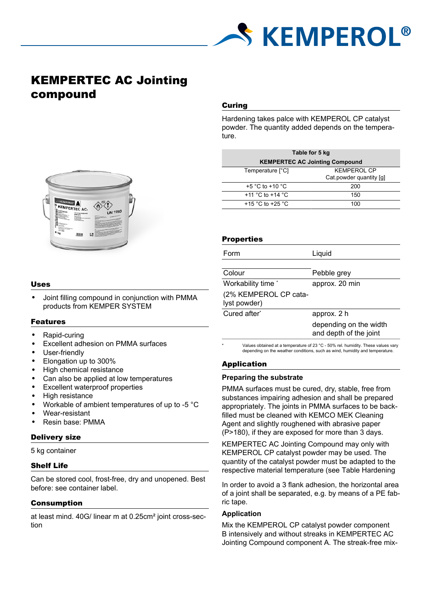

# KEMPERTEC AC Jointing compound



#### Uses

• Joint filling compound in conjunction with PMMA products from KEMPER SYSTEM

## Features

- Rapid-curing
- Excellent adhesion on PMMA surfaces
- User-friendly
- Elongation up to 300%
- High chemical resistance
- Can also be applied at low temperatures
- Excellent waterproof properties
- High resistance
- Workable of ambient temperatures of up to -5 °C
- Wear-resistant
- Resin base: PMMA

## Delivery size

5 kg container

## Shelf Life

Can be stored cool, frost-free, dry and unopened. Best before: see container label.

## Consumption

at least mind. 40G/ linear m at 0.25cm² joint cross-section

# Curing

Hardening takes palce with KEMPEROL CP catalyst powder. The quantity added depends on the temperature.

| Table for 5 kg                        |                         |  |
|---------------------------------------|-------------------------|--|
| <b>KEMPERTEC AC Jointing Compound</b> |                         |  |
| Temperature [°C]                      | <b>KEMPEROL CP</b>      |  |
|                                       | Cat powder quantity [g] |  |
| $+5$ °C to $+10$ °C                   | 200                     |  |
| +11 °C to +14 °C                      | 150                     |  |
| +15 °C to +25 °C                      | 100                     |  |

## **Properties**

| Form                                  | Liquid                                           |  |
|---------------------------------------|--------------------------------------------------|--|
|                                       |                                                  |  |
| Colour                                | Pebble grey                                      |  |
| Workability time *                    | approx. 20 min                                   |  |
| (2% KEMPEROL CP cata-<br>lyst powder) |                                                  |  |
| Cured after*                          | approx. 2 h                                      |  |
|                                       | depending on the width<br>and depth of the joint |  |

Values obtained at a temperature of 23 °C - 50% rel. humidity. These values vary depending on the weather conditions, such as wind, humidity and temperature.

# Application

## **Preparing the substrate**

PMMA surfaces must be cured, dry, stable, free from substances impairing adhesion and shall be prepared appropriately. The joints in PMMA surfaces to be backfilled must be cleaned with KEMCO MEK Cleaning Agent and slightly roughened with abrasive paper (P>180), if they are exposed for more than 3 days.

KEMPERTEC AC Jointing Compound may only with KEMPEROL CP catalyst powder may be used. The quantity of the catalyst powder must be adapted to the respective material temperature (see Table Hardening

In order to avoid a 3 flank adhesion, the horizontal area of a joint shall be separated, e.g. by means of a PE fabric tape.

## **Application**

Mix the KEMPEROL CP catalyst powder component B intensively and without streaks in KEMPERTEC AC Jointing Compound component A. The streak-free mix-